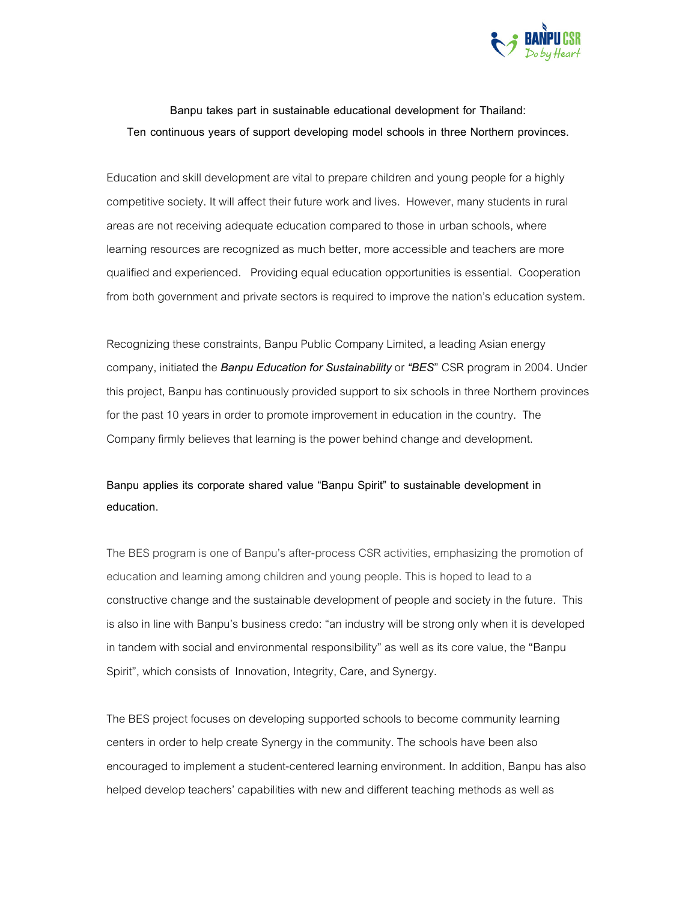

Banpu takes part in sustainable educational development for Thailand: Ten continuous years of support developing model schools in three Northern provinces.

Education and skill development are vital to prepare children and young people for a highly competitive society. It will affect their future work and lives. However, many students in rural areas are not receiving adequate education compared to those in urban schools, where learning resources are recognized as much better, more accessible and teachers are more qualified and experienced. Providing equal education opportunities is essential. Cooperation from both government and private sectors is required to improve the nation's education system.

Recognizing these constraints, Banpu Public Company Limited, a leading Asian energy company, initiated the Banpu Education for Sustainability or "BES" CSR program in 2004. Under this project, Banpu has continuously provided support to six schools in three Northern provinces for the past 10 years in order to promote improvement in education in the country. The Company firmly believes that learning is the power behind change and development.

## Banpu applies its corporate shared value "Banpu Spirit" to sustainable development in education.

The BES program is one of Banpu's after-process CSR activities, emphasizing the promotion of education and learning among children and young people. This is hoped to lead to a constructive change and the sustainable development of people and society in the future. This is also in line with Banpu's business credo: "an industry will be strong only when it is developed in tandem with social and environmental responsibility" as well as its core value, the "Banpu Spirit", which consists of Innovation, Integrity, Care, and Synergy.

The BES project focuses on developing supported schools to become community learning centers in order to help create Synergy in the community. The schools have been also encouraged to implement a student-centered learning environment. In addition, Banpu has also helped develop teachers' capabilities with new and different teaching methods as well as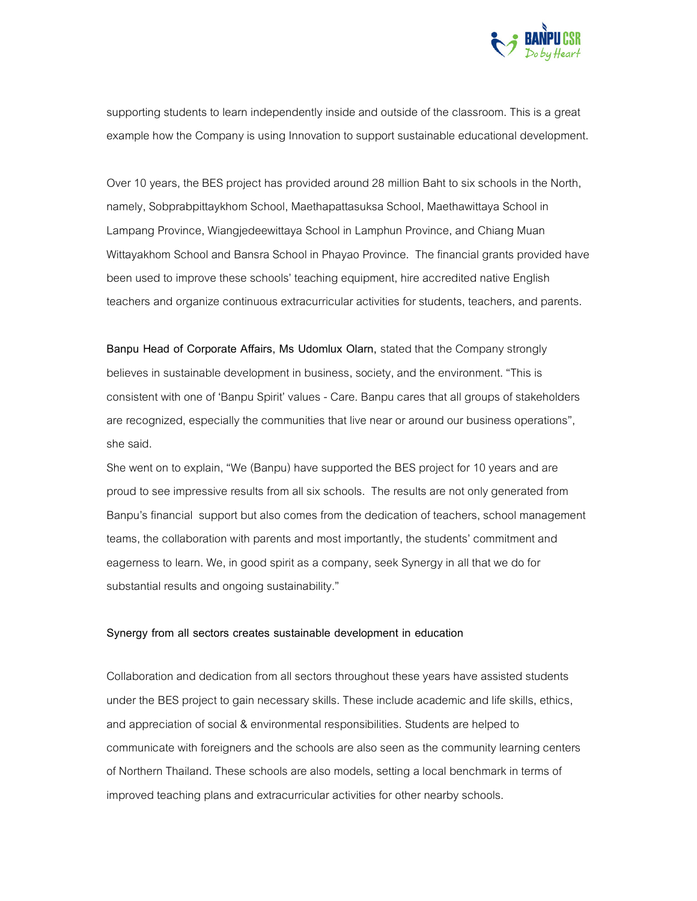

supporting students to learn independently inside and outside of the classroom. This is a great example how the Company is using Innovation to support sustainable educational development.

Over 10 years, the BES project has provided around 28 million Baht to six schools in the North, namely, Sobprabpittaykhom School, Maethapattasuksa School, Maethawittaya School in Lampang Province, Wiangjedeewittaya School in Lamphun Province, and Chiang Muan Wittayakhom School and Bansra School in Phayao Province. The financial grants provided have been used to improve these schools' teaching equipment, hire accredited native English teachers and organize continuous extracurricular activities for students, teachers, and parents.

Banpu Head of Corporate Affairs, Ms Udomlux Olarn, stated that the Company strongly believes in sustainable development in business, society, and the environment. "This is consistent with one of 'Banpu Spirit' values - Care. Banpu cares that all groups of stakeholders are recognized, especially the communities that live near or around our business operations", she said.

She went on to explain, "We (Banpu) have supported the BES project for 10 years and are proud to see impressive results from all six schools. The results are not only generated from Banpu's financial support but also comes from the dedication of teachers, school management teams, the collaboration with parents and most importantly, the students' commitment and eagerness to learn. We, in good spirit as a company, seek Synergy in all that we do for substantial results and ongoing sustainability."

## Synergy from all sectors creates sustainable development in education

Collaboration and dedication from all sectors throughout these years have assisted students under the BES project to gain necessary skills. These include academic and life skills, ethics, and appreciation of social & environmental responsibilities. Students are helped to communicate with foreigners and the schools are also seen as the community learning centers of Northern Thailand. These schools are also models, setting a local benchmark in terms of improved teaching plans and extracurricular activities for other nearby schools.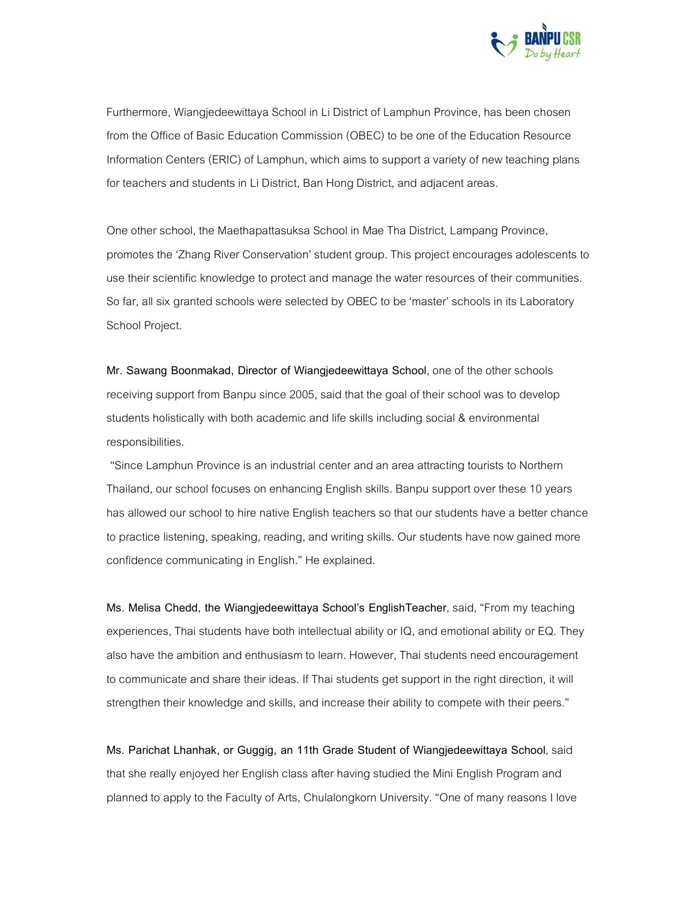

Furthermore, Wiangjedeewittaya School in Li District of Lamphun Province, has been chosen from the Office of Basic Education Commission (OBEC) to be one of the Education Resource Information Centers (ERIC) of Lamphun, which aims to support a variety of new teaching plans for teachers and students in Li District, Ban Hong District, and adjacent areas.

One other school, the Maethapattasuksa School in Mae Tha District, Lampang Province, promotes the 'Zhang River Conservation' student group. This project encourages adolescents to use their scientific knowledge to protect and manage the water resources of their communities. So far, all six granted schools were selected by OBEC to be 'master' schools in its Laboratory School Project.

Mr. Sawang Boonmakad, Director of Wiangjedeewittaya School, one of the other schools receiving support from Banpu since 2005, said that the goal of their school was to develop students holistically with both academic and life skills including social & environmental responsibilities.

"Since Lamphun Province is an industrial center and an area attracting tourists to Northern Thailand, our school focuses on enhancing English skills. Banpu support over these 10 years has allowed our school to hire native English teachers so that our students have a better chance to practice listening, speaking, reading, and writing skills. Our students have now gained more confidence communicating in English." He explained.

Ms. Melisa Chedd, the Wiangjedeewittaya School's EnglishTeacher, said, "From my teaching experiences, Thai students have both intellectual ability or IQ, and emotional ability or EQ. They also have the ambition and enthusiasm to learn. However, Thai students need encouragement to communicate and share their ideas. If Thai students get support in the right direction, it will strengthen their knowledge and skills, and increase their ability to compete with their peers."

Ms. Parichat Lhanhak, or Guggig, an 11th Grade Student of Wiangjedeewittaya School, said that she really enjoyed her English class after having studied the Mini English Program and planned to apply to the Faculty of Arts, Chulalongkorn University. "One of many reasons I love